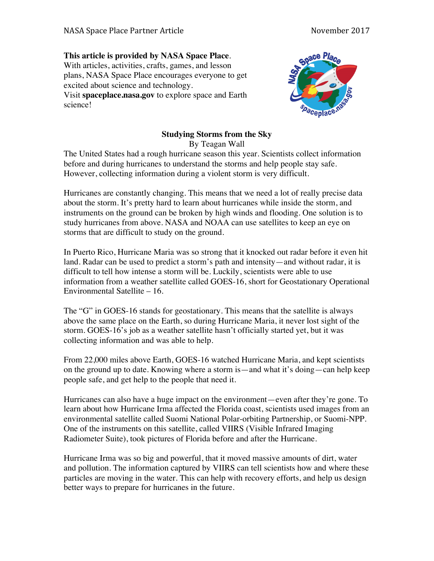## **This article is provided by NASA Space Place**.

With articles, activities, crafts, games, and lesson plans, NASA Space Place encourages everyone to get excited about science and technology. Visit **spaceplace.nasa.gov** to explore space and Earth

science!



## **Studying Storms from the Sky**

By Teagan Wall

The United States had a rough hurricane season this year. Scientists collect information before and during hurricanes to understand the storms and help people stay safe. However, collecting information during a violent storm is very difficult.

Hurricanes are constantly changing. This means that we need a lot of really precise data about the storm. It's pretty hard to learn about hurricanes while inside the storm, and instruments on the ground can be broken by high winds and flooding. One solution is to study hurricanes from above. NASA and NOAA can use satellites to keep an eye on storms that are difficult to study on the ground.

In Puerto Rico, Hurricane Maria was so strong that it knocked out radar before it even hit land. Radar can be used to predict a storm's path and intensity—and without radar, it is difficult to tell how intense a storm will be. Luckily, scientists were able to use information from a weather satellite called GOES-16, short for Geostationary Operational Environmental Satellite – 16.

The "G" in GOES-16 stands for geostationary. This means that the satellite is always above the same place on the Earth, so during Hurricane Maria, it never lost sight of the storm. GOES-16's job as a weather satellite hasn't officially started yet, but it was collecting information and was able to help.

From 22,000 miles above Earth, GOES-16 watched Hurricane Maria, and kept scientists on the ground up to date. Knowing where a storm is—and what it's doing—can help keep people safe, and get help to the people that need it.

Hurricanes can also have a huge impact on the environment—even after they're gone. To learn about how Hurricane Irma affected the Florida coast, scientists used images from an environmental satellite called Suomi National Polar-orbiting Partnership, or Suomi-NPP. One of the instruments on this satellite, called VIIRS (Visible Infrared Imaging Radiometer Suite), took pictures of Florida before and after the Hurricane.

Hurricane Irma was so big and powerful, that it moved massive amounts of dirt, water and pollution. The information captured by VIIRS can tell scientists how and where these particles are moving in the water. This can help with recovery efforts, and help us design better ways to prepare for hurricanes in the future.